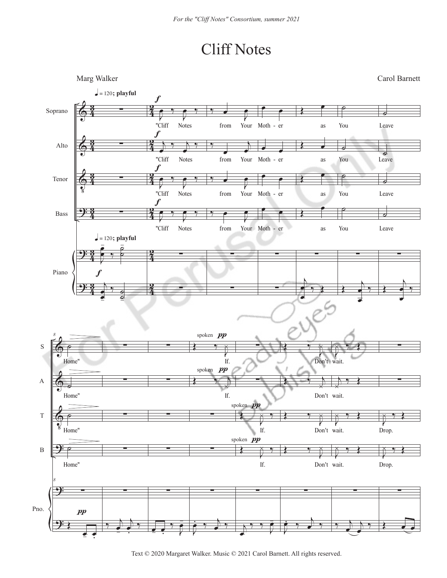

Text © 2020 Margaret Walker. Music © 2021 Carol Barnett. All rights reserved.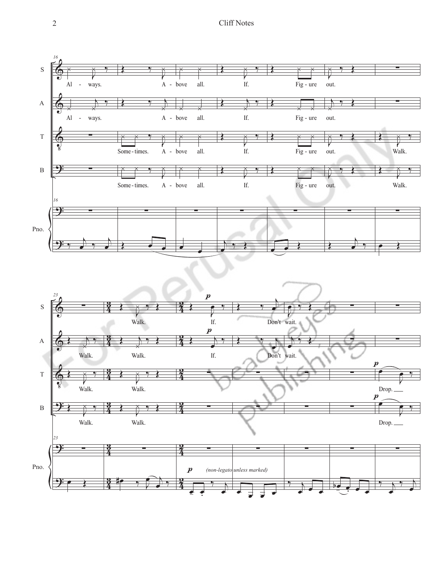

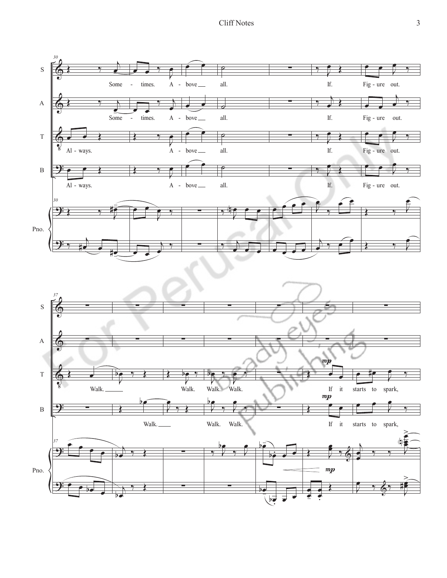

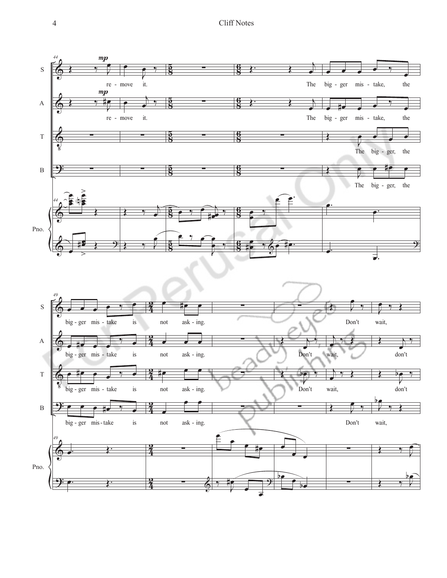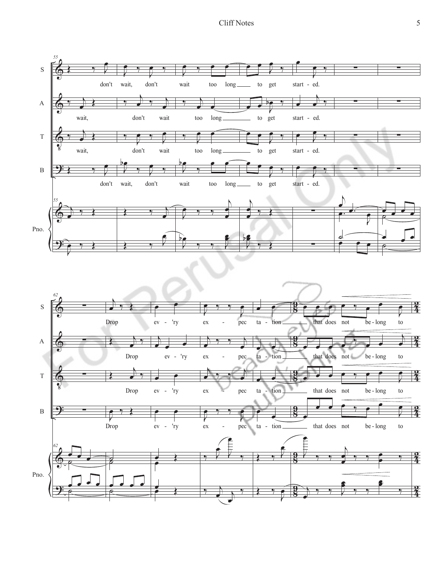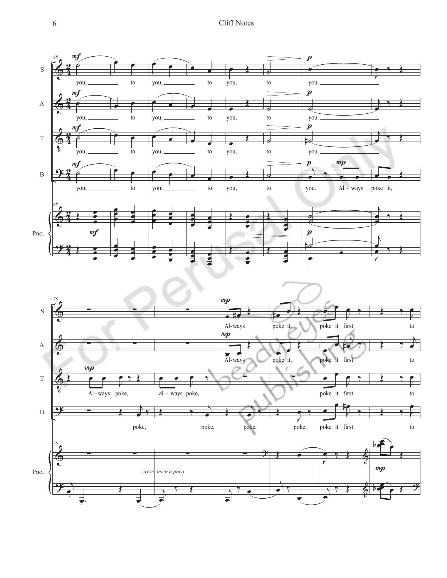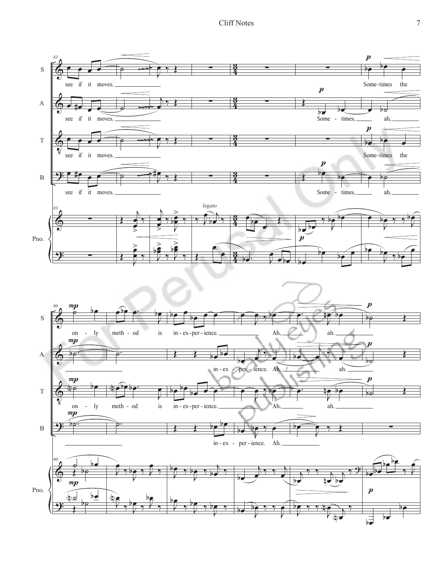

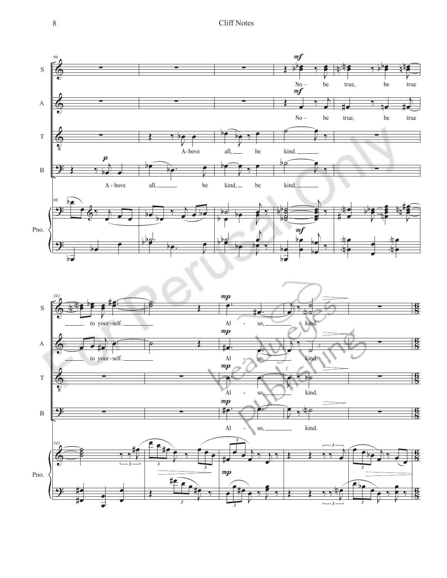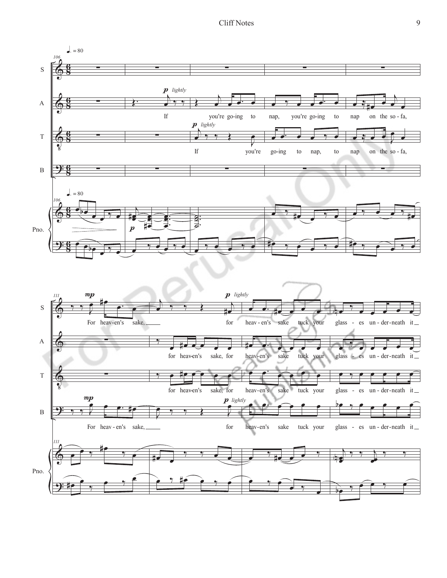

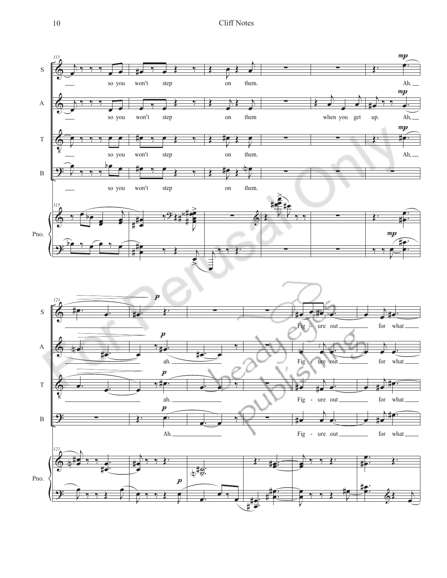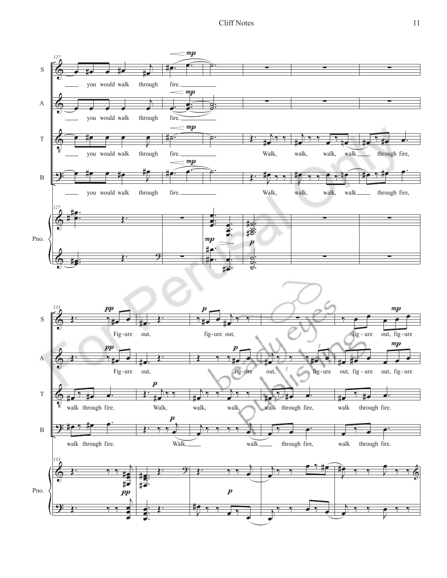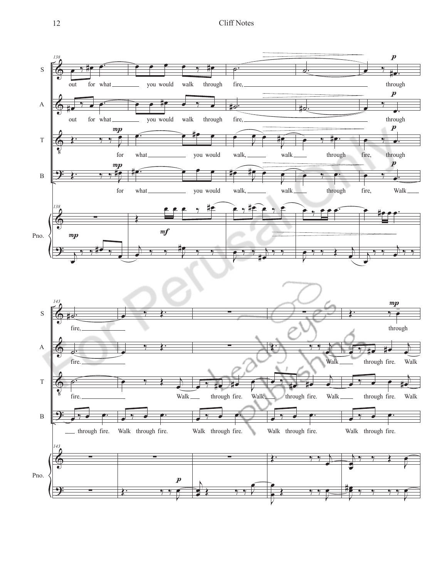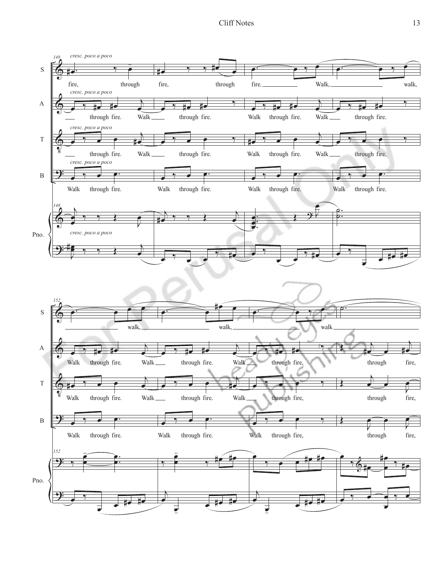